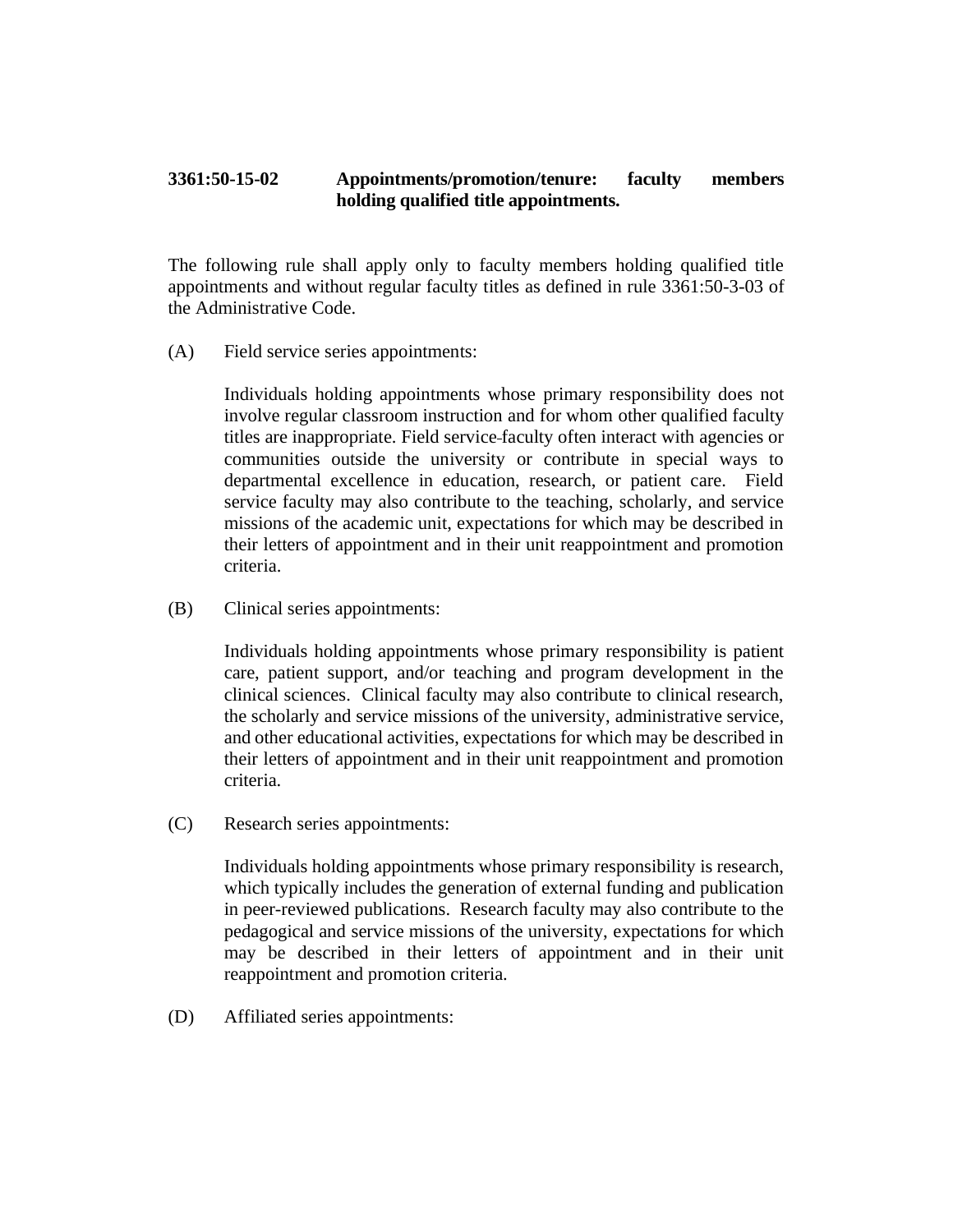## **3361:50-15-02 Appointments/promotion/tenure: faculty members holding qualified title appointments.**

The following rule shall apply only to faculty members holding qualified title appointments and without regular faculty titles as defined in rule 3361:50-3-03 of the Administrative Code.

(A) Field service series appointments:

Individuals holding appointments whose primary responsibility does not involve regular classroom instruction and for whom other qualified faculty titles are inappropriate. Field service faculty often interact with agencies or communities outside the university or contribute in special ways to departmental excellence in education, research, or patient care. Field service faculty may also contribute to the teaching, scholarly, and service missions of the academic unit, expectations for which may be described in their letters of appointment and in their unit reappointment and promotion criteria.

(B) Clinical series appointments:

Individuals holding appointments whose primary responsibility is patient care, patient support, and/or teaching and program development in the clinical sciences. Clinical faculty may also contribute to clinical research, the scholarly and service missions of the university, administrative service, and other educational activities, expectations for which may be described in their letters of appointment and in their unit reappointment and promotion criteria.

(C) Research series appointments:

Individuals holding appointments whose primary responsibility is research, which typically includes the generation of external funding and publication in peer-reviewed publications. Research faculty may also contribute to the pedagogical and service missions of the university, expectations for which may be described in their letters of appointment and in their unit reappointment and promotion criteria.

(D) Affiliated series appointments: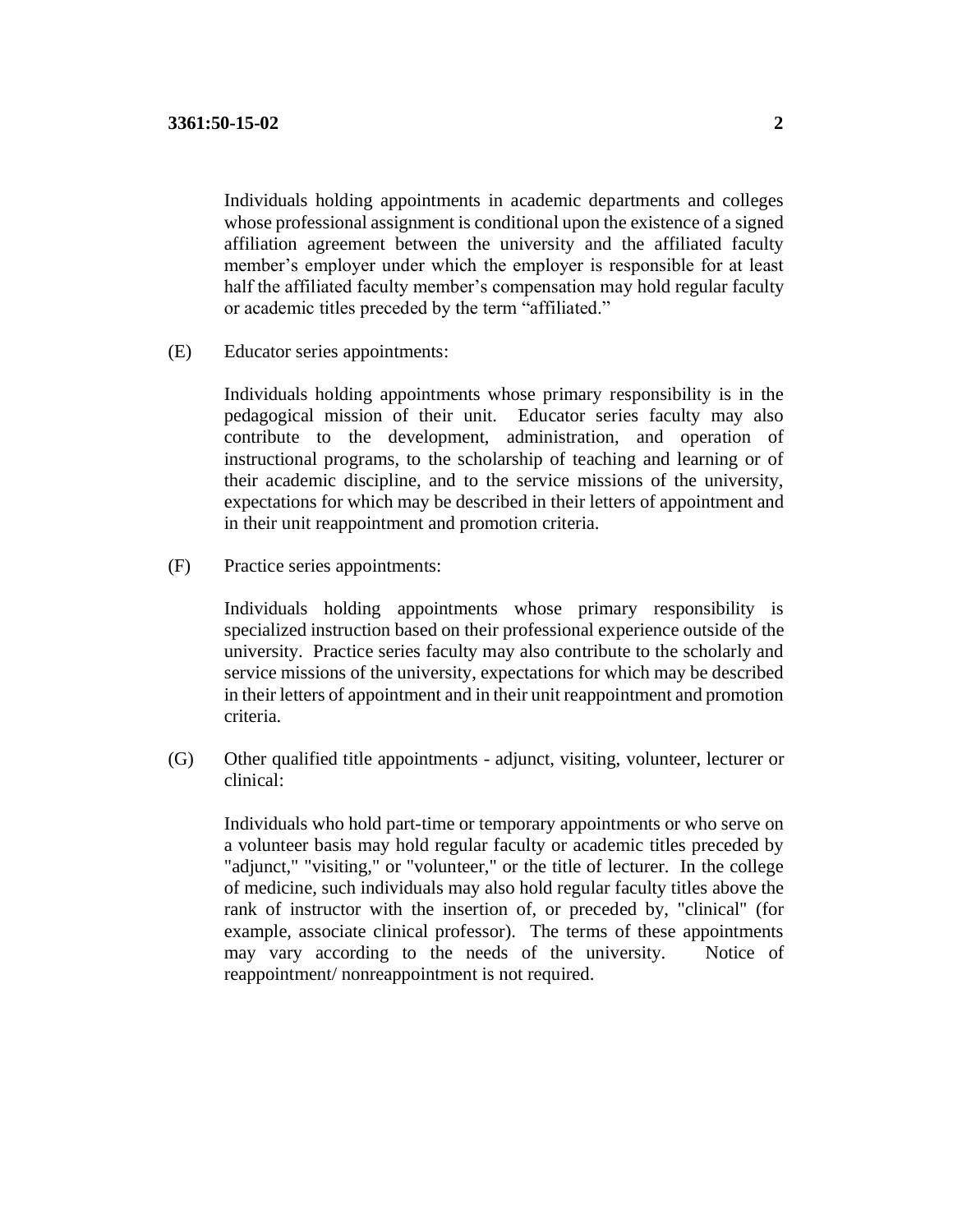Individuals holding appointments in academic departments and colleges whose professional assignment is conditional upon the existence of a signed affiliation agreement between the university and the affiliated faculty member's employer under which the employer is responsible for at least half the affiliated faculty member's compensation may hold regular faculty or academic titles preceded by the term "affiliated."

(E) Educator series appointments:

Individuals holding appointments whose primary responsibility is in the pedagogical mission of their unit. Educator series faculty may also contribute to the development, administration, and operation of instructional programs, to the scholarship of teaching and learning or of their academic discipline, and to the service missions of the university, expectations for which may be described in their letters of appointment and in their unit reappointment and promotion criteria.

(F) Practice series appointments:

Individuals holding appointments whose primary responsibility is specialized instruction based on their professional experience outside of the university. Practice series faculty may also contribute to the scholarly and service missions of the university, expectations for which may be described in their letters of appointment and in their unit reappointment and promotion criteria.

(G) Other qualified title appointments - adjunct, visiting, volunteer, lecturer or clinical:

Individuals who hold part-time or temporary appointments or who serve on a volunteer basis may hold regular faculty or academic titles preceded by "adjunct," "visiting," or "volunteer," or the title of lecturer. In the college of medicine, such individuals may also hold regular faculty titles above the rank of instructor with the insertion of, or preceded by, "clinical" (for example, associate clinical professor). The terms of these appointments may vary according to the needs of the university. Notice of reappointment/ nonreappointment is not required.